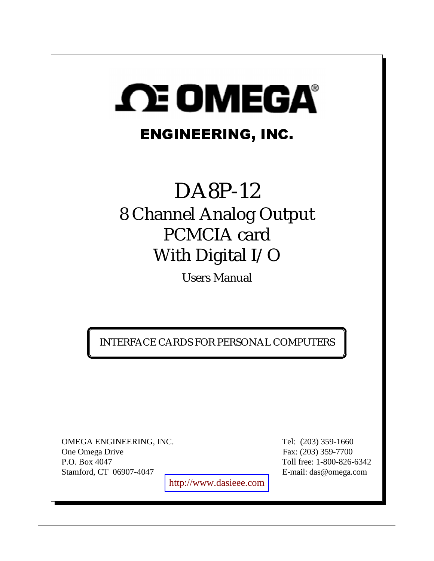# **CE OMEGA®**

# ENGINEERING, INC.

# DA8P-12 8 Channel Analog Output PCMCIA card With Digital I/O

Users Manual

INTERFACE CARDS FOR PERSONAL COMPUTERS

OMEGA ENGINEERING, INC. Tel: (203) 359-1660 One Omega Drive Fax: (203) 359-7700 P.O. Box 4047 Toll free: 1-800-826-6342 Stamford, CT 06907-4047 E-mail: das@omega.com

[http://www.dasieee.com](http://www.dasieee.com/)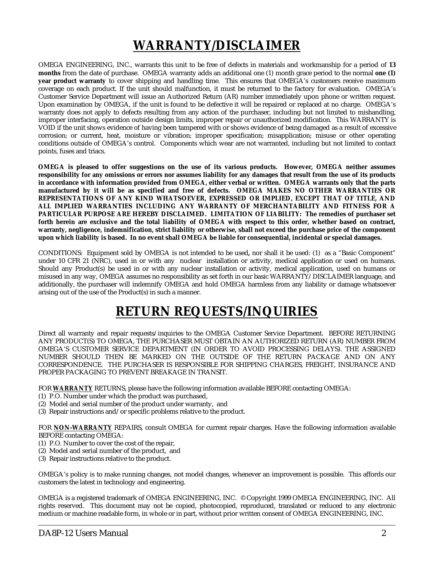# **WARRANTY/DISCLAIMER**

OMEGA ENGINEERING, INC., warrants this unit to be free of defects in materials and workmanship for a period of **13 months** from the date of purchase. OMEGA warranty adds an additional one (1) month grace period to the normal **one (1) year product warranty** to cover shipping and handling time. This ensures that OMEGA's customers receive maximum coverage on each product. If the unit should malfunction, it must be returned to the factory for evaluation. OMEGA's Customer Service Department will issue an Authorized Return (AR) number immediately upon phone or written request. Upon examination by OMEGA, if the unit is found to be defective it will be repaired or replaced at no charge. OMEGA's warranty does not apply to defects resulting from any action of the purchaser, including but not limited to mishandling, improper interfacing, operation outside design limits, improper repair or unauthorized modification. This WARRANTY is VOID if the unit shows evidence of having been tampered with or shows evidence of being damaged as a result of excessive corrosion; or current, heat, moisture or vibration; improper specification; misapplication; misuse or other operating conditions outside of OMEGA's control. Components which wear are not warranted, including but not limited to contact points, fuses and triacs.

**OMEGA is pleased to offer suggestions on the use of its various products. However, OMEGA neither assumes responsibility for any omissions or errors nor assumes liability for any damages that result from the use of its products in accordance with information provided from OMEGA, either verbal or written. OMEGA warrants only that the parts manufactured by it will be as specified and free of defects. OMEGA MAKES NO OTHER WARRANTIES OR REPRESENTATIONS OF ANY KIND WHATSOEVER, EXPRESSED OR IMPLIED, EXCEPT THAT OF TITLE, AND ALL IMPLIED WARRANTIES INCLUDING ANY WARRANTY OF MERCHANTABILITY AND FITNESS FOR A PARTICULAR PURPOSE ARE HEREBY DISCLAIMED. LIMITATION OF LIABILITY: The remedies of purchaser set forth herein are exclusive and the total liability of OMEGA with respect to this order, whether based on contract, warranty, negligence, indemnification, strict liability or otherwise, shall not exceed the purchase price of the component upon which liability is based. In no event shall OMEGA be liable for consequential, incidental or special damages.**

CONDITIONS: Equipment sold by OMEGA is not intended to be used**,** nor shall it be used: (1) as a "Basic Component" under 10 CFR 21 (NRC), used in or with any nuclear installation or activity, medical application or used on humans. Should any Product(s) be used in or with any nuclear installation or activity, medical application, used on humans or misused in any way, OMEGA assumes no responsibility as set forth in our basic WARRANTY/DISCLAIMER language, and additionally, the purchaser will indemnify OMEGA and hold OMEGA harmless from any liability or damage whatsoever arising out of the use of the Product(s) in such a manner.

# **RETURN REQUESTS/INQUIRIES**

Direct all warranty and repair requests/inquiries to the OMEGA Customer Service Department. BEFORE RETURNING ANY PRODUCT(S) TO OMEGA, THE PURCHASER MUST OBTAIN AN AUTHORIZED RETURN (AR) NUMBER FROM OMEGA'S CUSTOMER SERVICE DEPARTMENT (IN ORDER TO AVOID PROCESSING DELAYS). THE ASSIGNED NUMBER SHOULD THEN BE MARKED ON THE OUTSIDE OF THE RETURN PACKAGE AND ON ANY CORRESPONDENCE. THE PURCHASER IS RESPONSIBLE FOR SHIPPING CHARGES, FREIGHT, INSURANCE AND PROPER PACKAGING TO PREVENT BREAKAGE IN TRANSIT.

FOR **WARRANTY** RETURNS, please have the following information available BEFORE contacting OMEGA:

- (1) P.O. Number under which the product was purchased,
- (2) Model and serial number of the product under warranty, and
- (3) Repair instructions and/or specific problems relative to the product.

FOR **NON-WARRANTY** REPAIRS, consult OMEGA for current repair charges. Have the following information available BEFORE contacting OMEGA:

- (1) P.O. Number to cover the cost of the repair,
- (2) Model and serial number of the product, and
- (3) Repair instructions relative to the product.

OMEGA's policy is to make running changes, not model changes, whenever an improvement is possible. This affords our customers the latest in technology and engineering.

OMEGA is a registered trademark of OMEGA ENGINEERING, INC. © Copyright 1999 OMEGA ENGINEERING, INC. All rights reserved. This document may not be copied, photocopied, reproduced, translated or reduced to any electronic medium or machine readable form, in whole or in part, without prior written consent of OMEGA ENGINEERING, INC.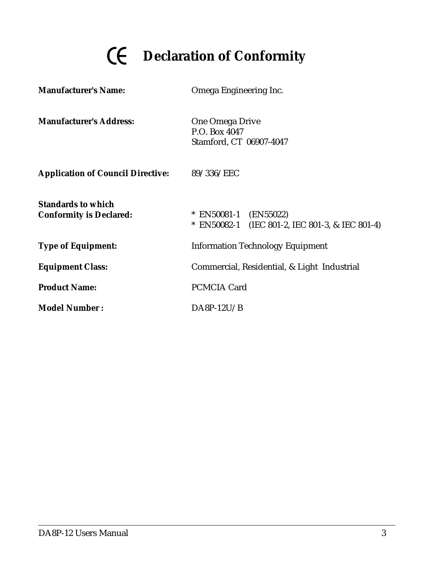# **Declaration of Conformity**

| <b>Manufacturer's Name:</b>                                 | Omega Engineering Inc.                                                             |
|-------------------------------------------------------------|------------------------------------------------------------------------------------|
| <b>Manufacturer's Address:</b>                              | One Omega Drive<br>P.O. Box 4047<br>Stamford, CT 06907-4047                        |
| <b>Application of Council Directive:</b>                    | 89/336/EEC                                                                         |
| <b>Standards to which</b><br><b>Conformity is Declared:</b> | (EN55022)<br>$*$ EN50081-1<br>(IEC 801-2, IEC 801-3, & IEC 801-4)<br>$*$ EN50082-1 |
| <b>Type of Equipment:</b>                                   | <b>Information Technology Equipment</b>                                            |
| <b>Equipment Class:</b>                                     | Commercial, Residential, & Light Industrial                                        |
| <b>Product Name:</b>                                        | <b>PCMCIA Card</b>                                                                 |
| <b>Model Number:</b>                                        | $DASP-12U/B$                                                                       |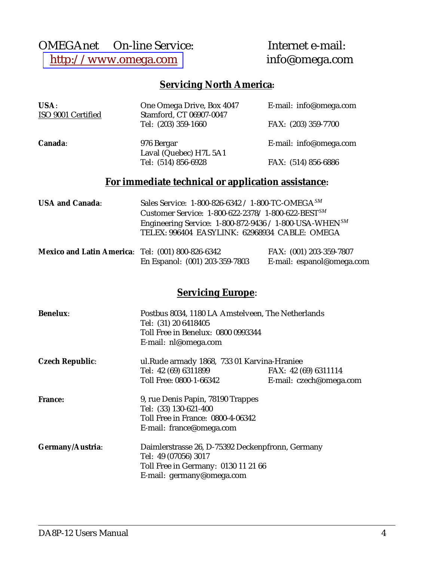## OMEGAnet<br>
© On-line Service: Internet e-mail:<br>
http://www.omega.com<br>
info@omega.com [http://www.omega.com](http://www.omega.com/)

#### **Servicing North America:**

| USA:<br>ISO 9001 Certified | One Omega Drive, Box 4047<br>Stamford, CT 06907-0047         | E-mail: info@omega.com |  |  |
|----------------------------|--------------------------------------------------------------|------------------------|--|--|
|                            | Tel: (203) 359-1660                                          | FAX: (203) 359-7700    |  |  |
| Canada:                    | 976 Bergar<br>Laval (Quebec) H7L 5A1                         | E-mail: info@omega.com |  |  |
|                            | Tel: (514) 856-6928                                          | FAX: (514) 856-6886    |  |  |
|                            | For immediate technical or application assistance:           |                        |  |  |
| <b>USA and Canada:</b>     | Sales Service: 1-800-826-6342 / 1-800-TC-OMEGA <sup>SM</sup> |                        |  |  |

| <b>USA and Canada:</b> | Sales Service: 1-800-826-6342 / 1-800-TC-OMEGA <sup>374</sup>   |
|------------------------|-----------------------------------------------------------------|
|                        | Customer Service: 1-800-622-2378/1-800-622-BEST <sup>SM</sup>   |
|                        | Engineering Service: $1-800-872-9436 / 1-800$ -USA-WHEN $^{SM}$ |
|                        | TELEX: 996404 EASYLINK: 62968934 CABLE: OMEGA                   |
|                        |                                                                 |

| Mexico and Latin America: Tel: (001) 800-826-6342 |                                | FAX: (001) 203-359-7807   |  |  |  |
|---------------------------------------------------|--------------------------------|---------------------------|--|--|--|
|                                                   | En Espanol: (001) 203-359-7803 | E-mail: espanol@omega.com |  |  |  |

#### **Servicing Europe**:

| <b>Benelux:</b>        | Postbus 8034, 1180 LA Amstelveen, The Netherlands<br>Tel: (31) 20 6418405 |                         |  |  |  |  |  |  |
|------------------------|---------------------------------------------------------------------------|-------------------------|--|--|--|--|--|--|
|                        | Toll Free in Benelux: 0800 0993344                                        |                         |  |  |  |  |  |  |
|                        | E-mail: nl@omega.com                                                      |                         |  |  |  |  |  |  |
| <b>Czech Republic:</b> | ul.Rude armady 1868, 733 01 Karvina-Hraniee                               |                         |  |  |  |  |  |  |
|                        | Tel: 42 (69) 6311899                                                      | FAX: 42 (69) 6311114    |  |  |  |  |  |  |
|                        | Toll Free: 0800-1-66342                                                   | E-mail: czech@omega.com |  |  |  |  |  |  |
| <b>France:</b>         | 9, rue Denis Papin, 78190 Trappes                                         |                         |  |  |  |  |  |  |
|                        | Tel: (33) 130-621-400                                                     |                         |  |  |  |  |  |  |
|                        | Toll Free in France: 0800-4-06342                                         |                         |  |  |  |  |  |  |
|                        | E-mail: france@omega.com                                                  |                         |  |  |  |  |  |  |
| Germany/Austria:       | Daimlerstrasse 26, D-75392 Deckenpfronn, Germany                          |                         |  |  |  |  |  |  |
|                        | Tel: 49 (07056) 3017                                                      |                         |  |  |  |  |  |  |
|                        | Toll Free in Germany: 0130 11 21 66                                       |                         |  |  |  |  |  |  |
|                        | E-mail: germany@omega.com                                                 |                         |  |  |  |  |  |  |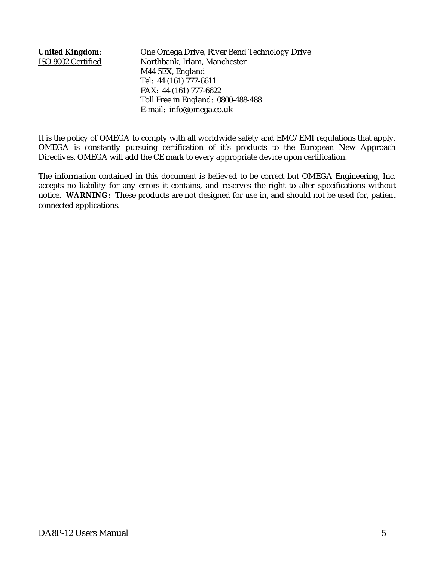**United Kingdom**: One Omega Drive, River Bend Technology Drive Northbank, Irlam, Manchester M44 5EX, England Tel: 44 (161) 777-6611 FAX: 44 (161) 777-6622 Toll Free in England: 0800-488-488 E-mail: info@omega.co.uk

It is the policy of OMEGA to comply with all worldwide safety and EMC/EMI regulations that apply. OMEGA is constantly pursuing certification of it's products to the European New Approach Directives. OMEGA will add the CE mark to every appropriate device upon certification.

The information contained in this document is believed to be correct but OMEGA Engineering, Inc. accepts no liability for any errors it contains, and reserves the right to alter specifications without notice. **WARNING**: These products are not designed for use in, and should not be used for, patient connected applications.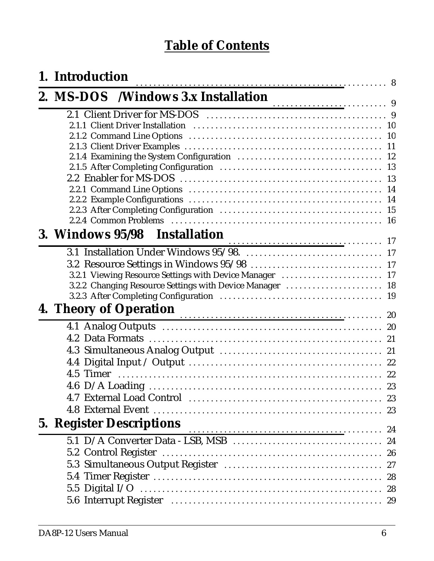# **Table of Contents**

| 1. Introduction                                          |  |
|----------------------------------------------------------|--|
| 2. MS-DOS®/Windows 3.x Installation                      |  |
|                                                          |  |
|                                                          |  |
|                                                          |  |
|                                                          |  |
|                                                          |  |
|                                                          |  |
|                                                          |  |
|                                                          |  |
|                                                          |  |
|                                                          |  |
|                                                          |  |
| 3. Windows 95/98® Installation                           |  |
|                                                          |  |
|                                                          |  |
| 3.2.1 Viewing Resource Settings with Device Manager  17  |  |
| 3.2.2 Changing Resource Settings with Device Manager  18 |  |
|                                                          |  |
| <b>4. Theory of Operation</b>                            |  |
|                                                          |  |
|                                                          |  |
|                                                          |  |
|                                                          |  |
| 4.5 Timer                                                |  |
|                                                          |  |
|                                                          |  |
|                                                          |  |
| <b>5. Register Descriptions</b>                          |  |
|                                                          |  |
|                                                          |  |
|                                                          |  |
|                                                          |  |
|                                                          |  |
|                                                          |  |
|                                                          |  |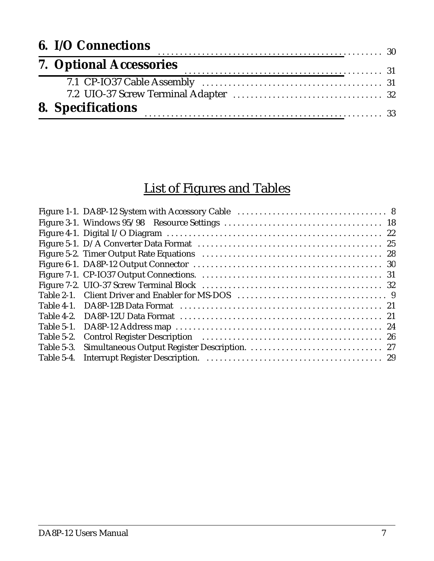| <b>6. I/O Connections</b>      |  |
|--------------------------------|--|
| <b>7. Optional Accessories</b> |  |
|                                |  |
|                                |  |
| 8. Specifications              |  |

# List of Figures and Tables

| Table 5-1. |  |
|------------|--|
| Table 5-2. |  |
|            |  |
|            |  |
|            |  |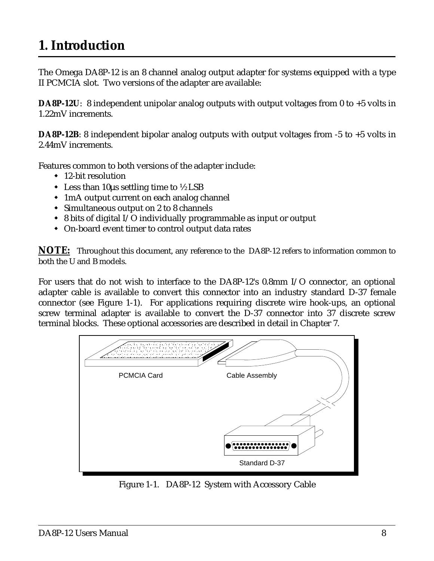# <span id="page-7-0"></span>**1. Introduction**

The Omega DA8P-12 is an 8 channel analog output adapter for systems equipped with a type II PCMCIA slot. Two versions of the adapter are available:

**DA8P-12U**: 8 independent unipolar analog outputs with output voltages from 0 to +5 volts in 1.22mV increments.

**DA8P-12B:** 8 independent bipolar analog outputs with output voltages from -5 to +5 volts in 2.44mV increments.

Features common to both versions of the adapter include:  $\frac{1}{\lambda}$ 

- 12-bit resolution
- $\cdot$  Less than 10µs settling time to ½ LSB
- $\frac{1}{2}$ 1mA output current on each analog channel
- $\frac{1}{2}$ Simultaneous output on 2 to 8 channels
- $\frac{1}{2}$ 8 bits of digital I/O individually programmable as input or output
- $\frac{1}{2}$ On-board event timer to control output data rates

**NOTE:** Throughout this document, any reference to the DA8P-12 refers to information common to both the U and B models.

For users that do not wish to interface to the DA8P-12's 0.8mm I/O connector, an optional adapter cable is available to convert this connector into an industry standard D-37 female connector (see Figure 1-1). For applications requiring discrete wire hook-ups, an optional screw terminal adapter is available to convert the D-37 connector into 37 discrete screw terminal blocks. These optional accessories are described in detail in Chapter 7.



Figure 1-1. DA8P-12 System with Accessory Cable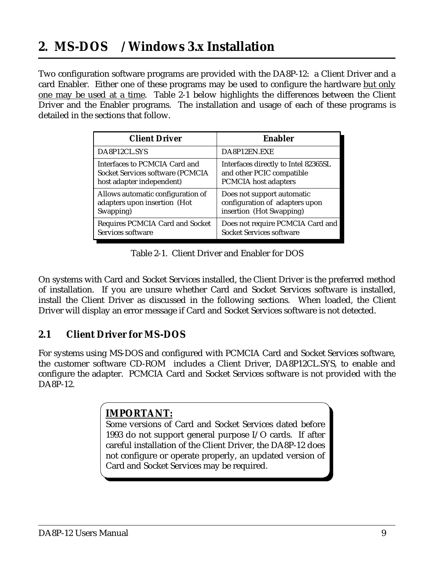<span id="page-8-0"></span>Two configuration software programs are provided with the DA8P-12: a Client Driver and a card Enabler. Either one of these programs may be used to configure the hardware but only one may be used at a time. Table 2-1 below highlights the differences between the Client Driver and the Enabler programs. The installation and usage of each of these programs is detailed in the sections that follow.

| <b>Client Driver</b>                    | Enabler                              |
|-----------------------------------------|--------------------------------------|
| DA8P12CL.SYS                            | DA8P12EN.EXE                         |
| Interfaces to PCMCIA Card and           | Interfaces directly to Intel 82365SL |
| <b>Socket Services software (PCMCIA</b> | and other PCIC compatible            |
| host adapter independent)               | PCMCIA host adapters                 |
| Allows automatic configuration of       | Does not support automatic           |
| adapters upon insertion (Hot            | configuration of adapters upon       |
| Swapping)                               | insertion (Hot Swapping)             |
| Requires PCMCIA Card and Socket         | Does not require PCMCIA Card and     |
| Services software                       | <b>Socket Services software</b>      |

Table 2-1. Client Driver and Enabler for DOS

On systems with Card and Socket Services installed, the Client Driver is the preferred method of installation. If you are unsure whether Card and Socket Services software is installed, install the Client Driver as discussed in the following sections. When loaded, the Client Driver will display an error message if Card and Socket Services software is not detected.

#### **2.1 Client Driver for MS-DOS**

For systems using MS-DOS and configured with PCMCIA Card and Socket Services software, the customer software CD-ROM includes a Client Driver, DA8P12CL.SYS, to enable and configure the adapter. PCMCIA Card and Socket Services software is not provided with the DA8P-12.

### **IMPORTANT:**

Some versions of Card and Socket Services dated before 1993 do not support general purpose I/O cards. If after careful installation of the Client Driver, the DA8P-12 does not configure or operate properly, an updated version of Card and Socket Services may be required.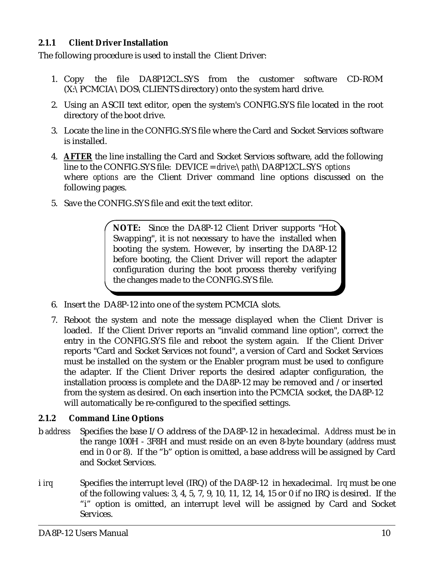#### **2.1.1 Client Driver Installation**

The following procedure is used to install the Client Driver:

- 1. Copy the file DA8P12CL.SYS from the customer software CD-ROM (X:\PCMCIA\DOS\CLIENTS directory) onto the system hard drive.
- 2. Using an ASCII text editor, open the system's CONFIG.SYS file located in the root directory of the boot drive.
- 3. Locate the line in the CONFIG.SYS file where the Card and Socket Services software is installed.
- 4. **AFTER** the line installing the Card and Socket Services software, add the following line to the CONFIG.SYS file: DEVICE = *drive*:\*path*\DA8P12CL.SYS *options* where *options* are the Client Driver command line options discussed on the following pages.
- 5. Save the CONFIG.SYS file and exit the text editor.

**NOTE:** Since the DA8P-12 Client Driver supports "Hot Swapping", it is not necessary to have the installed when booting the system. However, by inserting the DA8P-12 before booting, the Client Driver will report the adapter configuration during the boot process thereby verifying the changes made to the CONFIG.SYS file.

- 6. Insert the DA8P-12 into one of the system PCMCIA slots.
- 7. Reboot the system and note the message displayed when the Client Driver is loaded. If the Client Driver reports an "invalid command line option", correct the entry in the CONFIG.SYS file and reboot the system again. If the Client Driver reports "Card and Socket Services not found", a version of Card and Socket Services must be installed on the system or the Enabler program must be used to configure the adapter. If the Client Driver reports the desired adapter configuration, the installation process is complete and the DA8P-12 may be removed and /or inserted from the system as desired. On each insertion into the PCMCIA socket, the DA8P-12 will automatically be re-configured to the specified settings.

#### **2.1.2 Command Line Options**

- b *address* Specifies the base I/O address of the DA8P-12 in hexadecimal. *Address* must be in the range 100H - 3F8H and must reside on an even 8-byte boundary (*address* must end in 0 or 8). If the "b" option is omitted, a base address will be assigned by Card and Socket Services.
- i *irq* Specifies the interrupt level (IRQ) of the DA8P-12 in hexadecimal. *Irq* must be one of the following values: 3, 4, 5, 7, 9, 10, 11, 12, 14, 15 or 0 if no IRQ is desired. If the "i" option is omitted, an interrupt level will be assigned by Card and Socket Services.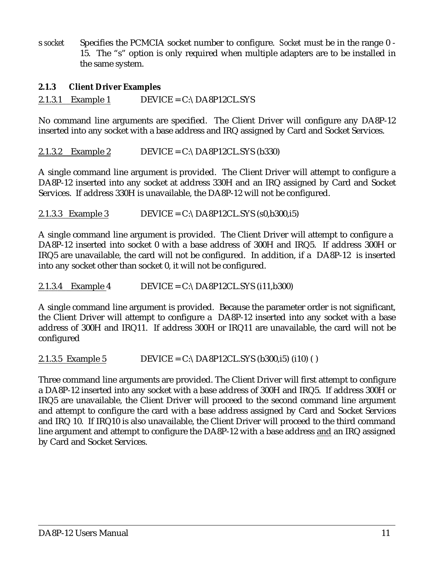s *socket* Specifies the PCMCIA socket number to configure. *Socket* must be in the range 0 - 15. The "s" option is only required when multiple adapters are to be installed in the same system.

#### **2.1.3 Client Driver Examples**

2.1.3.1 Example 1 DEVICE =  $C:\D{D}A8P12CL.SYS$ 

No command line arguments are specified. The Client Driver will configure any DA8P-12 inserted into any socket with a base address and IRQ assigned by Card and Socket Services.

2.1.3.2 Example 2 DEVICE =  $C:\D{DABP12CL.SYS}$  (b330)

A single command line argument is provided. The Client Driver will attempt to configure a DA8P-12 inserted into any socket at address 330H and an IRQ assigned by Card and Socket Services. If address 330H is unavailable, the DA8P-12 will not be configured.

2.1.3.3 Example 3 DEVICE =  $C:\D{DASP12CL.SYS (s0,b300,i5)}$ 

A single command line argument is provided. The Client Driver will attempt to configure a DA8P-12 inserted into socket 0 with a base address of 300H and IRQ5. If address 300H or IRQ5 are unavailable, the card will not be configured. In addition, if a DA8P-12 is inserted into any socket other than socket 0, it will not be configured.

2.1.3.4 Example 4 DEVICE =  $C:\D{DASP12CL.SYS}$  (i11,b300)

A single command line argument is provided. Because the parameter order is not significant, the Client Driver will attempt to configure a DA8P-12 inserted into any socket with a base address of 300H and IRQ11. If address 300H or IRQ11 are unavailable, the card will not be configured

2.1.3.5 Example 5 DEVICE = C:\DA8P12CL.SYS (b300.i5) (i10) ()

Three command line arguments are provided. The Client Driver will first attempt to configure a DA8P-12 inserted into any socket with a base address of 300H and IRQ5. If address 300H or IRQ5 are unavailable, the Client Driver will proceed to the second command line argument and attempt to configure the card with a base address assigned by Card and Socket Services and IRQ 10. If IRQ10 is also unavailable, the Client Driver will proceed to the third command line argument and attempt to configure the DA8P-12 with a base address and an IRQ assigned by Card and Socket Services.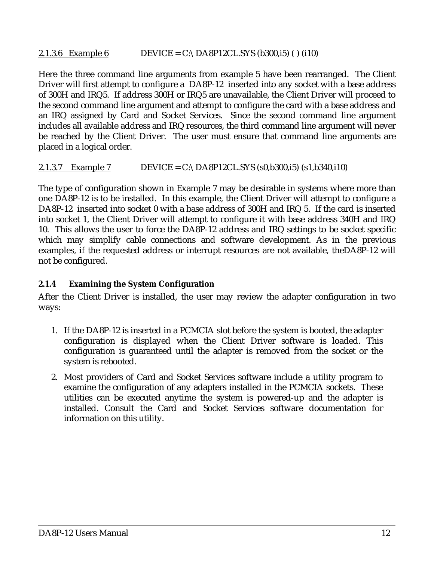#### 2.1.3.6 Example 6 DEVICE = C:\DA8P12CL.SYS (b300,i5) () (i10)

Here the three command line arguments from example 5 have been rearranged. The Client Driver will first attempt to configure a DA8P-12 inserted into any socket with a base address of 300H and IRQ5. If address 300H or IRQ5 are unavailable, the Client Driver will proceed to the second command line argument and attempt to configure the card with a base address and an IRQ assigned by Card and Socket Services. Since the second command line argument includes all available address and IRQ resources, the third command line argument will never be reached by the Client Driver. The user must ensure that command line arguments are placed in a logical order.

2.1.3.7 Example 7 DEVICE = C:\DA8P12CL.SYS (s0,b300,i5) (s1,b340,i10)

The type of configuration shown in Example 7 may be desirable in systems where more than one DA8P-12 is to be installed. In this example, the Client Driver will attempt to configure a DA8P-12 inserted into socket 0 with a base address of 300H and IRQ 5. If the card is inserted into socket 1, the Client Driver will attempt to configure it with base address 340H and IRQ 10. This allows the user to force the DA8P-12 address and IRQ settings to be socket specific which may simplify cable connections and software development. As in the previous examples, if the requested address or interrupt resources are not available, theDA8P-12 will not be configured.

#### **2.1.4 Examining the System Configuration**

After the Client Driver is installed, the user may review the adapter configuration in two ways:

- 1. If the DA8P-12 is inserted in a PCMCIA slot before the system is booted, the adapter configuration is displayed when the Client Driver software is loaded. This configuration is guaranteed until the adapter is removed from the socket or the system is rebooted.
- 2. Most providers of Card and Socket Services software include a utility program to examine the configuration of any adapters installed in the PCMCIA sockets. These utilities can be executed anytime the system is powered-up and the adapter is installed. Consult the Card and Socket Services software documentation for information on this utility.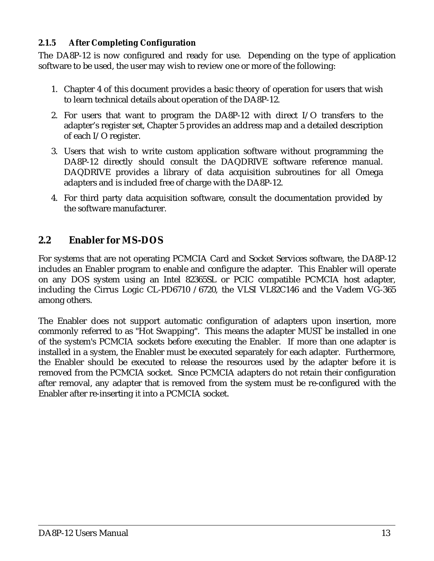#### <span id="page-12-0"></span>**2.1.5 After Completing Configuration**

The DA8P-12 is now configured and ready for use. Depending on the type of application software to be used, the user may wish to review one or more of the following:

- 1. Chapter 4 of this document provides a basic theory of operation for users that wish to learn technical details about operation of the DA8P-12.
- 2. For users that want to program the DA8P-12 with direct I/O transfers to the adapter's register set, Chapter 5 provides an address map and a detailed description of each I/O register.
- 3. Users that wish to write custom application software without programming the DA8P-12 directly should consult the DAQDRIVE software reference manual. DAQDRIVE provides a library of data acquisition subroutines for all Omega adapters and is included free of charge with the DA8P-12.
- 4. For third party data acquisition software, consult the documentation provided by the software manufacturer.

#### **2.2 Enabler for MS-DOS**

For systems that are not operating PCMCIA Card and Socket Services software, the DA8P-12 includes an Enabler program to enable and configure the adapter. This Enabler will operate on any DOS system using an Intel 82365SL or PCIC compatible PCMCIA host adapter, including the Cirrus Logic CL-PD6710 /6720, the VLSI VL82C146 and the Vadem VG-365 among others.

The Enabler does not support automatic configuration of adapters upon insertion, more commonly referred to as "Hot Swapping". This means the adapter MUST be installed in one of the system's PCMCIA sockets before executing the Enabler. If more than one adapter is installed in a system, the Enabler must be executed separately for each adapter. Furthermore, the Enabler should be executed to release the resources used by the adapter before it is removed from the PCMCIA socket. Since PCMCIA adapters do not retain their configuration after removal, any adapter that is removed from the system must be re-configured with the Enabler after re-inserting it into a PCMCIA socket.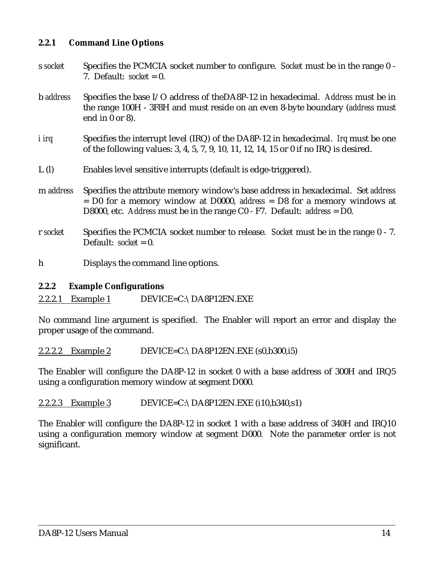#### **2.2.1 Command Line Options**

- s *socket* Specifies the PCMCIA socket number to configure. *Socket* must be in the range 0 7. Default: *socket* = 0.
- b *address* Specifies the base I/O address of theDA8P-12 in hexadecimal. *Address* must be in the range 100H - 3F8H and must reside on an even 8-byte boundary (*address* must end in 0 or 8).
- *i irq* Specifies the interrupt level (IRQ) of the DA8P-12 in hexadecimal. *Irq* must be one of the following values: 3, 4, 5, 7, 9, 10, 11, 12, 14, 15 or 0 if no IRQ is desired.
- L (l) Enables level sensitive interrupts (default is edge-triggered).
- m *address* Specifies the attribute memory window's base address in hexadecimal. Set *address* = D0 for a memory window at D0000, *address* = D8 for a memory windows at D8000, etc. *Address* must be in the range C0 - F7. Default: *address* = D0.
- r *socket* Specifies the PCMCIA socket number to release. *Socket* must be in the range 0 7. Default: *socket* = 0.
- h Displays the command line options.

#### **2.2.2 Example Configurations**

2.2.2.1 Example 1 DEVICE=C:\DA8P12EN.EXE

No command line argument is specified. The Enabler will report an error and display the proper usage of the command.

2.2.2.2 Example 2 DEVICE=C:\DA8P12EN.EXE (s0,b300,i5)

The Enabler will configure the DA8P-12 in socket 0 with a base address of 300H and IRQ5 using a configuration memory window at segment D000.

2.2.2.3 Example 3 DEVICE=C:\DA8P12EN.EXE (i10,b340,s1)

The Enabler will configure the DA8P-12 in socket 1 with a base address of 340H and IRQ10 using a configuration memory window at segment D000. Note the parameter order is not significant.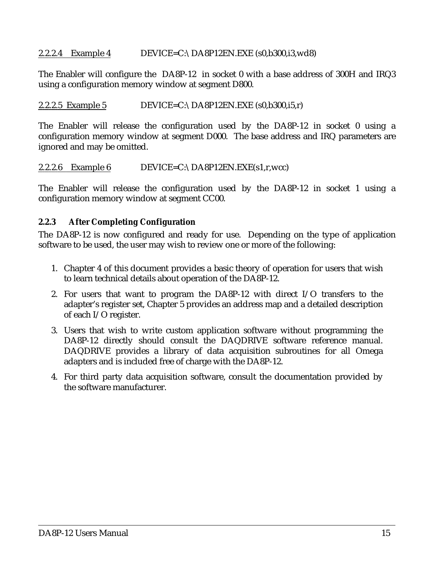#### 2.2.2.4 Example 4 DEVICE=C:\DA8P12EN.EXE (s0,b300,i3,wd8)

The Enabler will configure the DA8P-12 in socket 0 with a base address of 300H and IRQ3 using a configuration memory window at segment D800.

2.2.2.5 Example 5 DEVICE=C:\DA8P12EN.EXE  $(s0,b300,i5,r)$ 

The Enabler will release the configuration used by the DA8P-12 in socket 0 using a configuration memory window at segment D000. The base address and IRQ parameters are ignored and may be omitted.

2.2.2.6 Example 6 DEVICE=C:\DA8P12EN.EXE(s1,r,wcc)

The Enabler will release the configuration used by the DA8P-12 in socket 1 using a configuration memory window at segment CC00.

#### **2.2.3 After Completing Configuration**

The DA8P-12 is now configured and ready for use. Depending on the type of application software to be used, the user may wish to review one or more of the following:

- 1. Chapter 4 of this document provides a basic theory of operation for users that wish to learn technical details about operation of the DA8P-12.
- 2. For users that want to program the DA8P-12 with direct I/O transfers to the adapter's register set, Chapter 5 provides an address map and a detailed description of each I/O register.
- 3. Users that wish to write custom application software without programming the DA8P-12 directly should consult the DAQDRIVE software reference manual. DAQDRIVE provides a library of data acquisition subroutines for all Omega adapters and is included free of charge with the DA8P-12.
- 4. For third party data acquisition software, consult the documentation provided by the software manufacturer.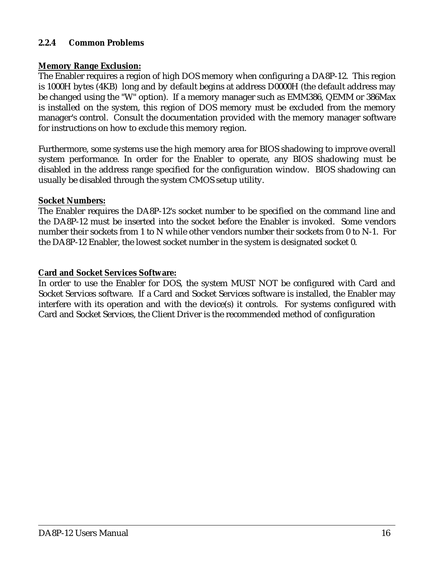#### **2.2.4 Common Problems**

#### **Memory Range Exclusion:**

The Enabler requires a region of high DOS memory when configuring a DA8P-12. This region is 1000H bytes (4KB) long and by default begins at address D0000H (the default address may be changed using the "W" option). If a memory manager such as EMM386, QEMM or 386Max is installed on the system, this region of DOS memory must be excluded from the memory manager's control. Consult the documentation provided with the memory manager software for instructions on how to exclude this memory region.

Furthermore, some systems use the high memory area for BIOS shadowing to improve overall system performance. In order for the Enabler to operate, any BIOS shadowing must be disabled in the address range specified for the configuration window. BIOS shadowing can usually be disabled through the system CMOS setup utility.

#### **Socket Numbers:**

The Enabler requires the DA8P-12's socket number to be specified on the command line and the DA8P-12 must be inserted into the socket before the Enabler is invoked. Some vendors number their sockets from 1 to N while other vendors number their sockets from 0 to N-1. For the DA8P-12 Enabler, the lowest socket number in the system is designated socket 0.

#### **Card and Socket Services Software:**

In order to use the Enabler for DOS, the system MUST NOT be configured with Card and Socket Services software. If a Card and Socket Services software is installed, the Enabler may interfere with its operation and with the device(s) it controls. For systems configured with Card and Socket Services, the Client Driver is the recommended method of configuration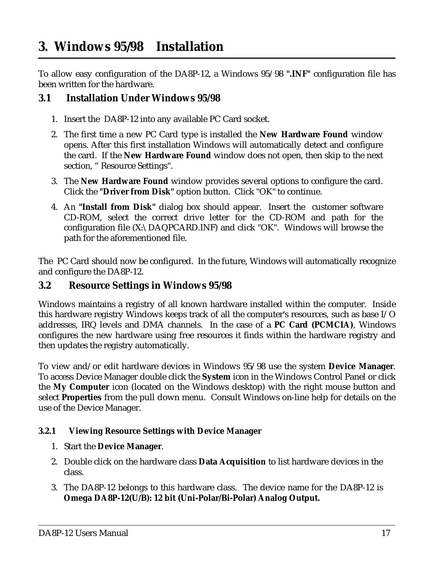<span id="page-16-0"></span>To allow easy configuration of the DA8P-12, a Windows 95/98 **".INF"** configuration file has been written for the hardware.

#### **3.1 Installation Under Windows 95/98**

- 1. Insert the DA8P-12 into any available PC Card socket.
- 2. The first time a new PC Card type is installed the **New Hardware Found** window opens. After this first installation Windows will automatically detect and configure the card. If the **New Hardware Found** window does not open, then skip to the next section, " Resource Settings".
- 3. The **New Hardware Found** window provides several options to configure the card. Click the **"Driver from Disk"** option button. Click "OK" to continue.
- 4. An **"Install from Disk"** dialog box should appear. Insert the customer software CD-ROM, select the correct drive letter for the CD-ROM and path for the configuration file  $(X:\D{DAQPCARD.INF} )$  and click "OK". Windows will browse the path for the aforementioned file.

The PC Card should now be configured. In the future, Windows will automatically recognize and configure the DA8P-12.

#### **3.2 Resource Settings in Windows 95/98**

Windows maintains a registry of all known hardware installed within the computer. Inside this hardware registry Windows keeps track of all the computer's resources, such as base I/O addresses, IRQ levels and DMA channels. In the case of a **PC Card (PCMCIA)**, Windows configures the new hardware using free resources it finds within the hardware registry and then updates the registry automatically.

To view and/or edit hardware devices in Windows 95/98 use the system **Device Manager**. To access Device Manager double click the **System** icon in the Windows Control Panel or click the **My Computer** icon (located on the Windows desktop) with the right mouse button and select **Properties** from the pull down menu. Consult Windows on-line help for details on the use of the Device Manager.

#### **3.2.1 Viewing Resource Settings with Device Manager**

- 1. Start the **Device Manager**.
- 2. Double click on the hardware class **Data Acquisition** to list hardware devices in the class.
- 3. The DA8P-12 belongs to this hardware class. The device name for the DA8P-12 is **Omega DA8P-12(U/B): 12 bit (Uni-Polar/Bi-Polar) Analog Output.**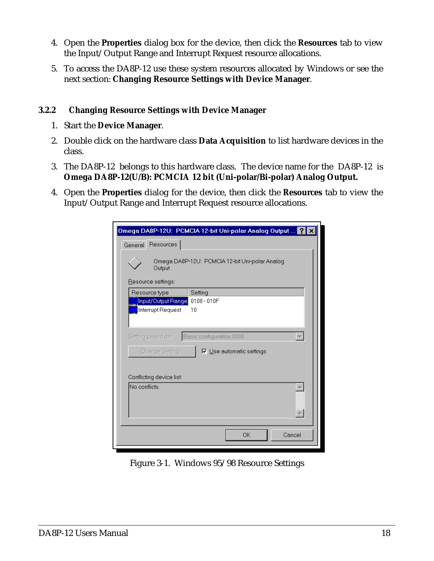- 4. Open the **Properties** dialog box for the device, then click the **Resources** tab to view the Input/Output Range and Interrupt Request resource allocations.
- 5. To access the DA8P-12 use these system resources allocated by Windows or see the next section: **Changing Resource Settings with Device Manager**.

#### **3.2.2 Changing Resource Settings with Device Manager**

- 1. Start the **Device Manager**.
- 2. Double click on the hardware class **Data Acquisition** to list hardware devices in the class.
- 3. The DA8P-12 belongs to this hardware class. The device name for the DA8P-12 is **Omega DA8P-12(U/B): PCMCIA 12 bit (Uni-polar/Bi-polar) Analog Output.**
- 4. Open the **Properties** dialog for the device, then click the **Resources** tab to view the Input/Output Range and Interrupt Request resource allocations.

| Omega DA8P-12U: PCMCIA 12-bit Uni-polar Analog Output  ? |
|----------------------------------------------------------|
| Resources<br>General                                     |
| Omega DA8P-12U: PCMCIA 12-bit Uni-polar Analog<br>Output |
| Resource settings:                                       |
| Resource type<br>Setting                                 |
| Input/Output Range 0108 - 010F                           |
| Interrupt Request<br>$10^{-1}$                           |
|                                                          |
| Basic configuration 0000<br>Setting based on:            |
| ☑ Use automatic settings<br>Change Setting               |
|                                                          |
| Conflicting device list:                                 |
| lNo conflicts.                                           |
|                                                          |
|                                                          |
|                                                          |
| Cancel<br>OK                                             |
|                                                          |

Figure 3-1. Windows 95/98 Resource Settings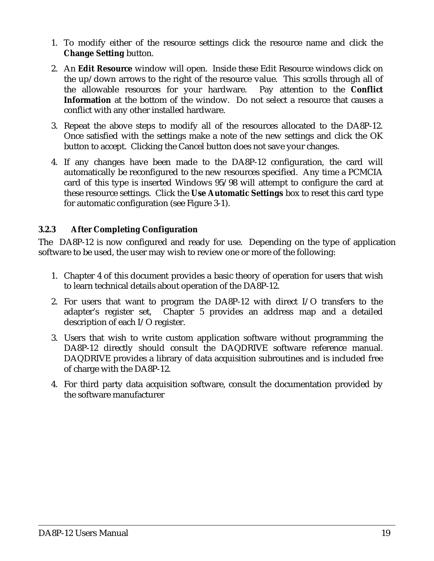- 1. To modify either of the resource settings click the resource name and click the **Change Setting** button.
- 2. An **Edit Resource** window will open. Inside these Edit Resource windows click on the up/down arrows to the right of the resource value. This scrolls through all of the allowable resources for your hardware. Pay attention to the **Conflict Information** at the bottom of the window. Do not select a resource that causes a conflict with any other installed hardware.
- 3. Repeat the above steps to modify all of the resources allocated to the DA8P-12. Once satisfied with the settings make a note of the new settings and click the OK button to accept. Clicking the Cancel button does not save your changes.
- 4. If any changes have been made to the DA8P-12 configuration, the card will automatically be reconfigured to the new resources specified. Any time a PCMCIA card of this type is inserted Windows 95/98 will attempt to configure the card at these resource settings. Click the **Use Automatic Settings** box to reset this card type for automatic configuration (see Figure 3-1).

#### **3.2.3 After Completing Configuration**

The DA8P-12 is now configured and ready for use. Depending on the type of application software to be used, the user may wish to review one or more of the following:

- 1. Chapter 4 of this document provides a basic theory of operation for users that wish to learn technical details about operation of the DA8P-12.
- 2. For users that want to program the DA8P-12 with direct I/O transfers to the adapter's register set, Chapter 5 provides an address map and a detailed description of each I/O register.
- 3. Users that wish to write custom application software without programming the DA8P-12 directly should consult the DAQDRIVE software reference manual. DAQDRIVE provides a library of data acquisition subroutines and is included free of charge with the DA8P-12.
- 4. For third party data acquisition software, consult the documentation provided by the software manufacturer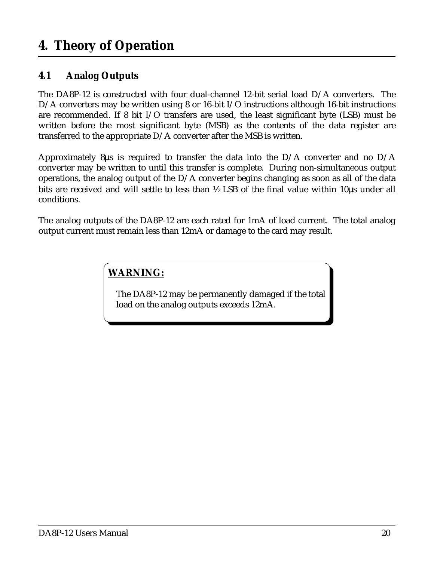#### <span id="page-19-0"></span>**4.1 Analog Outputs**

The DA8P-12 is constructed with four dual-channel 12-bit serial load D/A converters. The D/A converters may be written using 8 or 16-bit I/O instructions although 16-bit instructions are recommended. If 8 bit I/O transfers are used, the least significant byte (LSB) must be written before the most significant byte (MSB) as the contents of the data register are transferred to the appropriate  $D/A$  converter after the MSB is written.

Approximately 8µs is required to transfer the data into the D/A converter and no D/A converter may be written to until this transfer is complete. During non-simultaneous output operations, the analog output of the D/A converter begins changing as soon as all of the data bits are received and will settle to less than ½ LSB of the final value within 10µs under all conditions.

The analog outputs of the DA8P-12 are each rated for 1mA of load current. The total analog output current must remain less than 12mA or damage to the card may result.

**WARNING:**

The DA8P-12 may be permanently damaged if the total load on the analog outputs exceeds 12mA.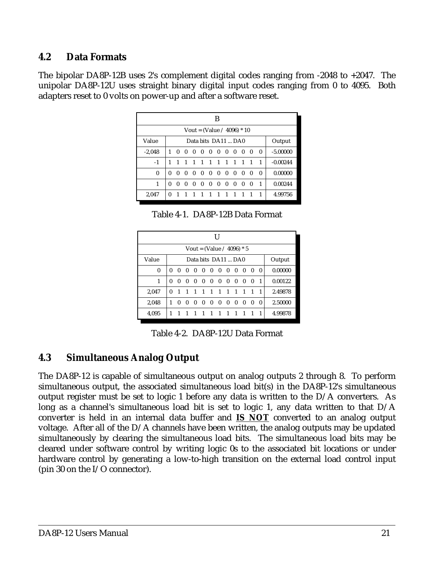#### **4.2 Data Formats**

The bipolar DA8P-12B uses 2's complement digital codes ranging from -2048 to +2047. The unipolar DA8P-12U uses straight binary digital input codes ranging from 0 to 4095. Both adapters reset to 0 volts on power-up and after a software reset.

| B                            |              |           |                   |                |                |                                     |                |                   |                |                |                |                |            |
|------------------------------|--------------|-----------|-------------------|----------------|----------------|-------------------------------------|----------------|-------------------|----------------|----------------|----------------|----------------|------------|
| Vout = (Value / 4096) * 10   |              |           |                   |                |                |                                     |                |                   |                |                |                |                |            |
| Value<br>Data bits DA11  DA0 |              |           |                   |                |                |                                     |                |                   |                |                |                | Output         |            |
| $-2,048$                     | 1            |           | $0\quad 0\quad 0$ |                |                | $0\quad 0\quad 0$                   |                | $0\quad 0\quad 0$ |                |                | $\bf{0}$       | $\overline{0}$ | $-5.00000$ |
| $-1$                         | 1            | $1\quad1$ |                   | $\blacksquare$ | $\overline{1}$ | $-1$ 1 1                            |                |                   | $\overline{1}$ | $\overline{1}$ | $\blacksquare$ | -1             | $-0.00244$ |
| $\bf{0}$                     | $\Omega$     | 0         |                   |                |                | $0\; 0\; 0\; 0\; 0\; 0\; 0\; 0\; 0$ |                |                   |                |                |                | $\bf{0}$       | 0.00000    |
| 1                            | $\mathbf{0}$ | 0         | 0                 | $\mathbf{0}$   | $0\quad 0$     |                                     | $\bf{0}$       | $0\quad 0\quad 0$ |                |                | $\bf{0}$       | $\overline{1}$ | 0.00244    |
| 2,047                        | 0            | 1         | $\overline{1}$    | $\blacksquare$ | -1             | 1                                   | $\overline{1}$ | $\overline{1}$    | $\overline{1}$ | $\overline{1}$ | 1              | -1             | 4.99756    |

Table 4-1. DA8P-12B Data Format

| U                           |                     |              |                |                |                |                |                |                |                |                |              |                |         |
|-----------------------------|---------------------|--------------|----------------|----------------|----------------|----------------|----------------|----------------|----------------|----------------|--------------|----------------|---------|
| Vout = (Value / 4096) $*$ 5 |                     |              |                |                |                |                |                |                |                |                |              |                |         |
| Value                       | Data bits DA11  DA0 |              |                |                |                |                |                |                |                |                |              | Output         |         |
| $\bf{0}$                    | 0                   | $\bf{0}$     | $\bf{0}$       | - 0            | $\bf{0}$       | $\bf{0}$       | $\bf{0}$       | $\mathbf{0}$   | $\bf{0}$       | $\bf{0}$       | $\bf{0}$     | $\overline{0}$ | 0.00000 |
| 1                           | 0                   | $\bf{0}$     | $\bf{0}$       | $\bf{0}$       | $\bf{0}$       | $\bf{0}$       | $\bf{0}$       | $\mathbf{0}$   | $\bf{0}$       | $\bf{0}$       | 0            | $\overline{1}$ | 0.00122 |
| 2.047                       | 0                   | $\mathbf{1}$ | $\overline{1}$ | $\overline{1}$ | $\overline{1}$ | $\overline{1}$ | $\blacksquare$ | $\overline{1}$ | $\overline{1}$ | $\overline{1}$ | $\mathbf{1}$ | $\mathbf{1}$   | 2.49878 |
| 2,048                       | 1                   | $\bf{0}$     | $\bf{0}$       | $\bf{0}$       | $\bf{0}$       | $\bf{0}$       | $\bf{0}$       | $\mathbf{0}$   | $\mathbf{0}$   | $\bf{0}$       | 0            | $\mathbf{0}$   | 2.50000 |
| 4,095                       | 1                   |              | -1             | $\mathbf{1}$   | 1              | $\overline{1}$ | $\blacksquare$ | $\overline{1}$ | 1              | $\mathbf{1}$   | 1            | 1              | 4.99878 |

Table 4-2. DA8P-12U Data Format

#### **4.3 Simultaneous Analog Output**

The DA8P-12 is capable of simultaneous output on analog outputs 2 through 8. To perform simultaneous output, the associated simultaneous load bit(s) in the DA8P-12's simultaneous output register must be set to logic 1 before any data is written to the D/A converters. As long as a channel's simultaneous load bit is set to logic 1, any data written to that  $D/A$ converter is held in an internal data buffer and **IS NOT** converted to an analog output voltage. After all of the D/A channels have been written, the analog outputs may be updated simultaneously by clearing the simultaneous load bits. The simultaneous load bits may be cleared under software control by writing logic 0s to the associated bit locations or under hardware control by generating a low-to-high transition on the external load control input (pin 30 on the I/O connector).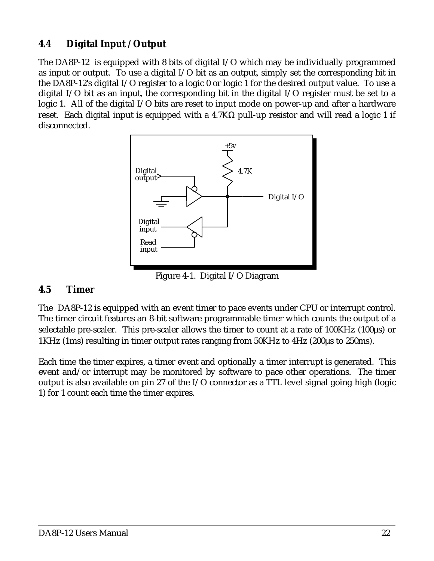#### **4.4 Digital Input / Output**

The DA8P-12 is equipped with 8 bits of digital I/O which may be individually programmed as input or output. To use a digital  $I/O$  bit as an output, simply set the corresponding bit in the DA8P-12's digital I/O register to a logic 0 or logic 1 for the desired output value. To use a digital I/O bit as an input, the corresponding bit in the digital I/O register must be set to a logic 1. All of the digital I/O bits are reset to input mode on power-up and after a hardware reset. Each digital input is equipped with a  $4.7K\Omega$  pull-up resistor and will read a logic 1 if disconnected.



Figure 4-1. Digital I/O Diagram

#### **4.5 Timer**

The DA8P-12 is equipped with an event timer to pace events under CPU or interrupt control. The timer circuit features an 8-bit software programmable timer which counts the output of a selectable pre-scaler. This pre-scaler allows the timer to count at a rate of 100KHz (100µs) or 1KHz (1ms) resulting in timer output rates ranging from 50KHz to 4Hz (200µs to 250ms).

Each time the timer expires, a timer event and optionally a timer interrupt is generated. This event and/or interrupt may be monitored by software to pace other operations. The timer output is also available on pin 27 of the I/O connector as a TTL level signal going high (logic 1) for 1 count each time the timer expires.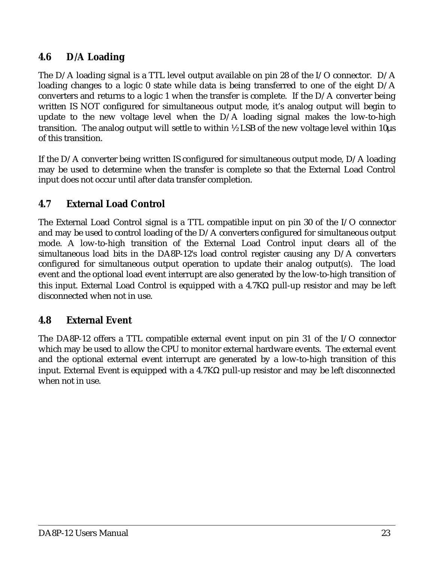#### **4.6 D/A Loading**

The D/A loading signal is a TTL level output available on pin 28 of the I/O connector. D/A loading changes to a logic 0 state while data is being transferred to one of the eight D/A converters and returns to a logic 1 when the transfer is complete. If the D/A converter being written IS NOT configured for simultaneous output mode, it's analog output will begin to update to the new voltage level when the D/A loading signal makes the low-to-high transition. The analog output will settle to within ½ LSB of the new voltage level within 10µs of this transition.

If the D/A converter being written IS configured for simultaneous output mode, D/A loading may be used to determine when the transfer is complete so that the External Load Control input does not occur until after data transfer completion.

#### **4.7 External Load Control**

The External Load Control signal is a TTL compatible input on pin 30 of the I/O connector and may be used to control loading of the D/A converters configured for simultaneous output mode. A low-to-high transition of the External Load Control input clears all of the simultaneous load bits in the DA8P-12's load control register causing any D/A converters configured for simultaneous output operation to update their analog output(s). The load event and the optional load event interrupt are also generated by the low-to-high transition of this input. External Load Control is equipped with a  $4.7K\Omega$  pull-up resistor and may be left disconnected when not in use.

#### **4.8 External Event**

The DA8P-12 offers a TTL compatible external event input on pin 31 of the I/O connector which may be used to allow the CPU to monitor external hardware events. The external event and the optional external event interrupt are generated by a low-to-high transition of this input. External Event is equipped with a  $4.7K\Omega$  pull-up resistor and may be left disconnected when not in use.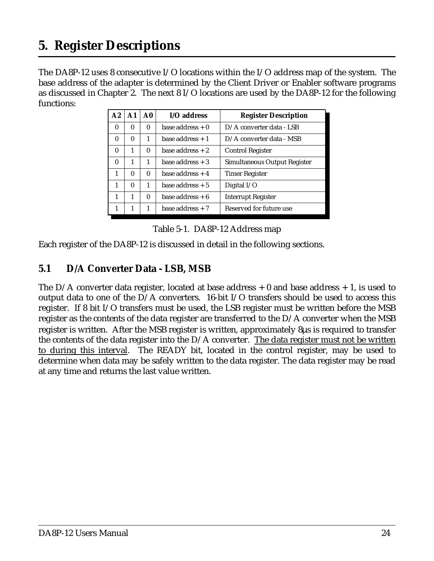# <span id="page-23-0"></span>**5. Register Descriptions**

The DA8P-12 uses 8 consecutive I/O locations within the I/O address map of the system. The base address of the adapter is determined by the Client Driver or Enabler software programs as discussed in Chapter 2. The next 8 I/O locations are used by the DA8P-12 for the following functions:

| A2           | A1           | A0           | I/O address       | <b>Register Description</b>  |
|--------------|--------------|--------------|-------------------|------------------------------|
| $\mathbf{0}$ | 0            | $\mathbf{0}$ | base address $+0$ | D/A converter data - LSB     |
| $\mathbf{0}$ | $\theta$     | 1            | base address $+1$ | D/A converter data - MSB     |
| $\mathbf{0}$ | 1            | 0            | base address $+2$ | Control Register             |
| $\mathbf{0}$ | 1            | 1            | base address $+3$ | Simultaneous Output Register |
| 1            | $\mathbf{0}$ | $\mathbf{0}$ | base address $+4$ | Timer Register               |
| 1            | $\mathbf{0}$ | 1            | base address $+5$ | Digital $I/O$                |
| $\mathbf{1}$ | 1            | $\mathbf{0}$ | base address $+6$ | Interrupt Register           |
|              |              | 1            | base address $+7$ | Reserved for future use      |

Table 5-1. DA8P-12 Address map

Each register of the DA8P-12 is discussed in detail in the following sections.

#### **5.1 D/A Converter Data - LSB, MSB**

The  $D/A$  converter data register, located at base address  $+0$  and base address  $+1$ , is used to output data to one of the D/A converters. 16-bit I/O transfers should be used to access this register. If 8 bit I/O transfers must be used, the LSB register must be written before the MSB register as the contents of the data register are transferred to the D/A converter when the MSB register is written. After the MSB register is written, approximately 8µs is required to transfer the contents of the data register into the  $D/A$  converter. The data register must not be written to during this interval. The READY bit, located in the control register, may be used to determine when data may be safely written to the data register. The data register may be read at any time and returns the last value written.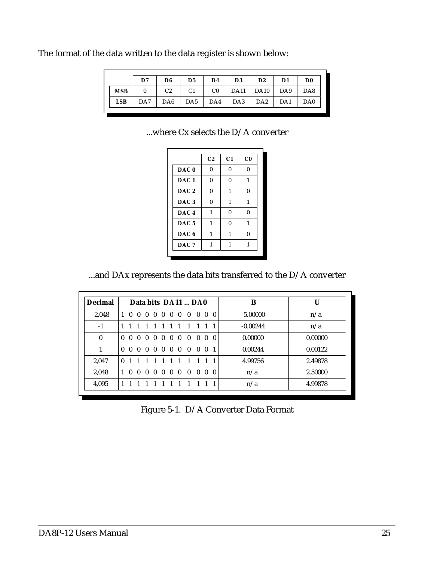The format of the data written to the data register is shown below:

|            | D7       | D6             | D <sub>5</sub> | D <sub>4</sub> | D <sub>3</sub> | D2              | D1  | D <sub>0</sub> |  |
|------------|----------|----------------|----------------|----------------|----------------|-----------------|-----|----------------|--|
| <b>MSB</b> | $\bf{0}$ | C <sub>2</sub> | C <sub>1</sub> | C <sub>0</sub> | DA11           | DA10            | DA9 | DA8            |  |
| <b>LSB</b> | DA7      | DA6            | DA5            | DA4            | DA3            | DA <sub>2</sub> | DA1 | DA0            |  |
|            |          |                |                |                |                |                 |     |                |  |

...where Cx selects the D/A converter

|                  | C <sub>2</sub> | C <sub>1</sub> | $_{\rm C0}$ |
|------------------|----------------|----------------|-------------|
| DAC <sub>0</sub> | 0              | $\mathbf{0}$   | $\bf{0}$    |
| DAC <sub>1</sub> | $\bf{0}$       | $\bf{0}$       | 1           |
| DAC <sub>2</sub> | $\bf{0}$       | 1              | $\bf{0}$    |
| DAC <sub>3</sub> | 0              | 1              | 1           |
| DAC <sub>4</sub> | 1              | $\bf{0}$       | $\bf{0}$    |
| DAC <sub>5</sub> | 1              | $\bf{0}$       | 1           |
| DAC <sub>6</sub> | 1              | 1              | $\bf{0}$    |
| DAC <sub>7</sub> | 1              | 1              | 1           |
|                  |                |                |             |

#### ...and DAx represents the data bits transferred to the D/A converter

| <b>Decimal</b> | Data bits DA11  DA0 |              |  |  |  |  |  |                   |                                        |                   |                   | в          | U       |
|----------------|---------------------|--------------|--|--|--|--|--|-------------------|----------------------------------------|-------------------|-------------------|------------|---------|
| $-2,048$       |                     |              |  |  |  |  |  | 100000000         |                                        |                   | $0\quad 0\quad 0$ | $-5.00000$ | n/a     |
| $-1$           |                     |              |  |  |  |  |  |                   | 1 1 1 1 1 1 1 1 1 1 1 1                |                   |                   | $-0.00244$ | n/a     |
| $\mathbf{0}$   | $\Omega$            | $\mathbf{0}$ |  |  |  |  |  |                   | $0\quad 0\quad 0\quad 0\quad 0\quad 0$ | $0\quad 0\quad 0$ |                   | 0.00000    | 0.00000 |
| 1              | $\bf{0}$            |              |  |  |  |  |  |                   | 00000000001                            |                   |                   | 0.00244    | 0.00122 |
| 2,047          |                     |              |  |  |  |  |  |                   | 0 1 1 1 1 1 1 1 1                      | 1 1 1             |                   | 4.99756    | 2.49878 |
| 2,048          |                     |              |  |  |  |  |  |                   | 100000000000                           |                   |                   | n/a        | 2.50000 |
| 4,095          |                     |              |  |  |  |  |  | 1 1 1 1 1 1 1 1 1 |                                        | $\overline{1}$    |                   | n/a        | 4.99878 |
|                |                     |              |  |  |  |  |  |                   |                                        |                   |                   |            |         |

Figure 5-1. D/A Converter Data Format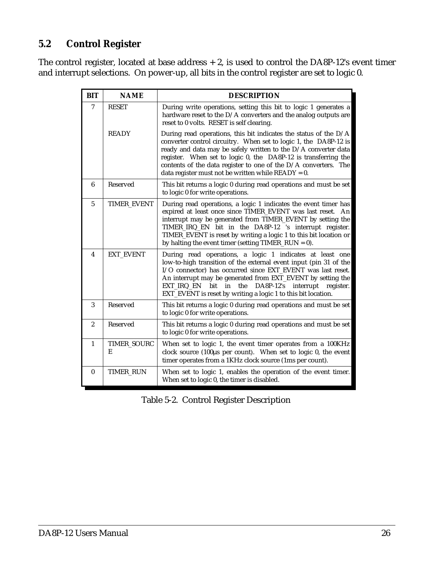#### **5.2 Control Register**

The control register, located at base address + 2, is used to control the DA8P-12's event timer and interrupt selections. On power-up, all bits in the control register are set to logic 0.

| <b>BIT</b>       | <b>NAME</b>       | <b>DESCRIPTION</b>                                                                                                                                                                                                                                                                                                                                                                                   |
|------------------|-------------------|------------------------------------------------------------------------------------------------------------------------------------------------------------------------------------------------------------------------------------------------------------------------------------------------------------------------------------------------------------------------------------------------------|
| $\overline{7}$   | <b>RESET</b>      | During write operations, setting this bit to logic 1 generates a<br>hardware reset to the D/A converters and the analog outputs are<br>reset to 0 volts. RESET is self clearing.                                                                                                                                                                                                                     |
|                  | <b>READY</b>      | During read operations, this bit indicates the status of the D/A<br>converter control circuitry. When set to logic 1, the DA8P-12 is<br>ready and data may be safely written to the D/A converter data<br>register. When set to logic 0, the DA8P-12 is transferring the<br>contents of the data register to one of the D/A converters. The<br>data register must not be written while $READV = 0$ . |
| 6                | Reserved          | This bit returns a logic 0 during read operations and must be set<br>to logic 0 for write operations.                                                                                                                                                                                                                                                                                                |
| $\overline{5}$   | TIMER_EVENT       | During read operations, a logic 1 indicates the event timer has<br>expired at least once since TIMER_EVENT was last reset. An<br>interrupt may be generated from TIMER_EVENT by setting the<br>TIMER_IRQ_EN bit in the DA8P-12 's interrupt register.<br>TIMER_EVENT is reset by writing a logic 1 to this bit location or<br>by halting the event timer (setting TIMER_RUN = $0$ ).                 |
| $\overline{4}$   | <b>EXT_EVENT</b>  | During read operations, a logic 1 indicates at least one<br>low-to-high transition of the external event input (pin 31 of the<br>I/O connector) has occurred since EXT_EVENT was last reset.<br>An interrupt may be generated from EXT_EVENT by setting the<br>$DA8P-12's$<br>the<br>interrupt register.<br>EXT_IRQ_EN bit in<br>EXT_EVENT is reset by writing a logic 1 to this bit location.       |
| 3                | Reserved          | This bit returns a logic 0 during read operations and must be set<br>to logic 0 for write operations.                                                                                                                                                                                                                                                                                                |
| $\boldsymbol{2}$ | Reserved          | This bit returns a logic 0 during read operations and must be set<br>to logic 0 for write operations.                                                                                                                                                                                                                                                                                                |
| $\mathbf{1}$     | TIMER_SOURC<br>F. | When set to logic 1, the event timer operates from a 100KHz<br>clock source (100µs per count). When set to logic 0, the event<br>timer operates from a 1KHz clock source (1ms per count).                                                                                                                                                                                                            |
| $\bf{0}$         | TIMER_RUN         | When set to logic 1, enables the operation of the event timer.<br>When set to logic 0, the timer is disabled.                                                                                                                                                                                                                                                                                        |

Table 5-2. Control Register Description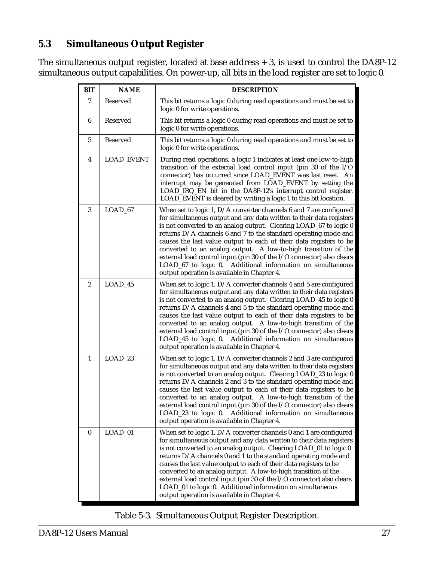#### **5.3 Simultaneous Output Register**

The simultaneous output register, located at base address + 3, is used to control the DA8P-12 simultaneous output capabilities. On power-up, all bits in the load register are set to logic 0.

| <b>BIT</b>       | <b>NAME</b>       | <b>DESCRIPTION</b>                                                                                                                                                                                                                                                                                                                                                                                                                                                                                                                                                                                               |
|------------------|-------------------|------------------------------------------------------------------------------------------------------------------------------------------------------------------------------------------------------------------------------------------------------------------------------------------------------------------------------------------------------------------------------------------------------------------------------------------------------------------------------------------------------------------------------------------------------------------------------------------------------------------|
| $\tau$           | Reserved          | This bit returns a logic 0 during read operations and must be set to<br>logic 0 for write operations.                                                                                                                                                                                                                                                                                                                                                                                                                                                                                                            |
| 6                | Reserved          | This bit returns a logic 0 during read operations and must be set to<br>logic 0 for write operations.                                                                                                                                                                                                                                                                                                                                                                                                                                                                                                            |
| 5                | Reserved          | This bit returns a logic 0 during read operations and must be set to<br>logic 0 for write operations.                                                                                                                                                                                                                                                                                                                                                                                                                                                                                                            |
| 4                | <b>LOAD_EVENT</b> | During read operations, a logic 1 indicates at least one low-to-high<br>transition of the external load control input (pin 30 of the I/O<br>connector) has occurred since LOAD_EVENT was last reset. An<br>interrupt may be generated from LOAD_EVENT by setting the<br>LOAD_IRQ_EN bit in the DA8P-12's interrupt control register.<br>LOAD_EVENT is cleared by writing a logic 1 to this bit location.                                                                                                                                                                                                         |
| 3                | LOAD_67           | When set to logic 1, D/A converter channels 6 and 7 are configured<br>for simultaneous output and any data written to their data registers<br>is not converted to an analog output. Clearing LOAD_67 to logic 0<br>returns D/A channels 6 and 7 to the standard operating mode and<br>causes the last value output to each of their data registers to be<br>converted to an analog output. A low-to-high transition of the<br>external load control input (pin 30 of the I/O connector) also clears<br>LOAD_67 to logic 0. Additional information on simultaneous<br>output operation is available in Chapter 4. |
| $\boldsymbol{2}$ | LOAD_45           | When set to logic 1, D/A converter channels 4 and 5 are configured<br>for simultaneous output and any data written to their data registers<br>is not converted to an analog output. Clearing LOAD_45 to logic 0<br>returns D/A channels 4 and 5 to the standard operating mode and<br>causes the last value output to each of their data registers to be<br>converted to an analog output. A low-to-high transition of the<br>external load control input (pin 30 of the I/O connector) also clears<br>LOAD_45 to logic 0. Additional information on simultaneous<br>output operation is available in Chapter 4. |
| $\mathbf{1}$     | LOAD_23           | When set to logic 1, D/A converter channels 2 and 3 are configured<br>for simultaneous output and any data written to their data registers<br>is not converted to an analog output. Clearing LOAD_23 to logic 0<br>returns D/A channels 2 and 3 to the standard operating mode and<br>causes the last value output to each of their data registers to be<br>converted to an analog output. A low-to-high transition of the<br>external load control input (pin 30 of the I/O connector) also clears<br>LOAD_23 to logic 0. Additional information on simultaneous<br>output operation is available in Chapter 4. |
| $\bf{0}$         | LOAD_01           | When set to logic 1, D/A converter channels 0 and 1 are configured<br>for simultaneous output and any data written to their data registers<br>is not converted to an analog output. Clearing LOAD_01 to logic 0<br>returns D/A channels 0 and 1 to the standard operating mode and<br>causes the last value output to each of their data registers to be<br>converted to an analog output. A low-to-high transition of the<br>external load control input (pin 30 of the I/O connector) also clears<br>LOAD_01 to logic 0. Additional information on simultaneous<br>output operation is available in Chapter 4. |

Table 5-3. Simultaneous Output Register Description.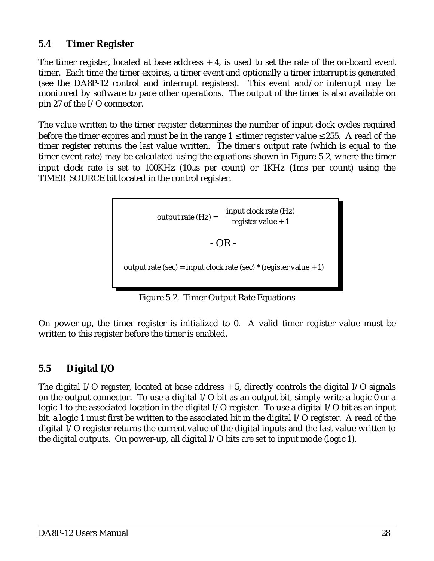#### **5.4 Timer Register**

The timer register, located at base address  $+4$ , is used to set the rate of the on-board event timer. Each time the timer expires, a timer event and optionally a timer interrupt is generated (see the DA8P-12 control and interrupt registers). This event and/or interrupt may be monitored by software to pace other operations. The output of the timer is also available on pin 27 of the I/O connector.

The value written to the timer register determines the number of input clock cycles required before the timer expires and must be in the range  $1 \leq$  timer register value  $\leq$  255. A read of the timer register returns the last value written. The timer's output rate (which is equal to the timer event rate) may be calculated using the equations shown in Figure 5-2, where the timer input clock rate is set to 100KHz (10µs per count) or 1KHz (1ms per count) using the TIMER\_SOURCE bit located in the control register.

> output rate  $(Hz) = \frac{input clock rate (Hz)}{1}$  register value + 1 output rate (sec) = input clock rate (sec)  $*$  (register value + 1)  $- OR -$

Figure 5-2. Timer Output Rate Equations

On power-up, the timer register is initialized to 0. A valid timer register value must be written to this register before the timer is enabled.

#### **5.5 Digital I/O**

The digital I/O register, located at base address  $+5$ , directly controls the digital I/O signals on the output connector. To use a digital I/O bit as an output bit, simply write a logic 0 or a logic 1 to the associated location in the digital I/O register. To use a digital I/O bit as an input bit, a logic 1 must first be written to the associated bit in the digital I/O register. A read of the digital I/O register returns the current value of the digital inputs and the last value written to the digital outputs. On power-up, all digital I/O bits are set to input mode (logic 1).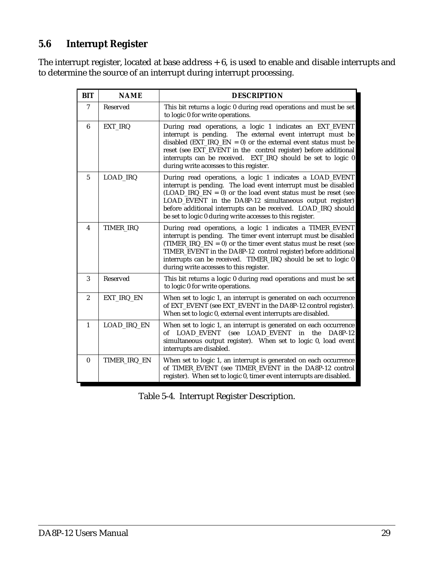#### **5.6 Interrupt Register**

The interrupt register, located at base address + 6, is used to enable and disable interrupts and to determine the source of an interrupt during interrupt processing.

| <b>BIT</b>     | <b>NAME</b>  | <b>DESCRIPTION</b>                                                                                                                                                                                                                                                                                                                                                                              |
|----------------|--------------|-------------------------------------------------------------------------------------------------------------------------------------------------------------------------------------------------------------------------------------------------------------------------------------------------------------------------------------------------------------------------------------------------|
| 7              | Reserved     | This bit returns a logic 0 during read operations and must be set<br>to logic 0 for write operations.                                                                                                                                                                                                                                                                                           |
| $6\phantom{1}$ | EXT_IRQ      | During read operations, a logic 1 indicates an EXT_EVENT<br>interrupt is pending. The external event interrupt must be<br>disabled ( $EXT$ <sub>IRQ</sub> <sub>EN</sub> = 0) or the external event status must be<br>reset (see EXT_EVENT in the control register) before additional<br>interrupts can be received. EXT_IRQ should be set to logic 0<br>during write accesses to this register. |
| $\overline{5}$ | LOAD_IRQ     | During read operations, a logic 1 indicates a LOAD_EVENT<br>interrupt is pending. The load event interrupt must be disabled<br>(LOAD_IRQ_EN = 0) or the load event status must be reset (see<br>LOAD_EVENT in the DA8P-12 simultaneous output register)<br>before additional interrupts can be received. LOAD_IRQ should<br>be set to logic 0 during write accesses to this register.           |
| $\overline{4}$ | TIMER_IRQ    | During read operations, a logic 1 indicates a TIMER_EVENT<br>interrupt is pending. The timer event interrupt must be disabled<br>$(TIMER_{IRQ}EN = 0)$ or the timer event status must be reset (see<br>TIMER_EVENT in the DA8P-12 control register) before additional<br>interrupts can be received. TIMER_IRQ should be set to logic 0<br>during write accesses to this register.              |
| 3              | Reserved     | This bit returns a logic 0 during read operations and must be set<br>to logic 0 for write operations.                                                                                                                                                                                                                                                                                           |
| $\overline{2}$ | EXT_IRQ_EN   | When set to logic 1, an interrupt is generated on each occurrence<br>of EXT_EVENT (see EXT_EVENT in the DA8P-12 control register).<br>When set to logic 0, external event interrupts are disabled.                                                                                                                                                                                              |
| $\mathbf{1}$   | LOAD_IRQ_EN  | When set to logic 1, an interrupt is generated on each occurrence<br><b>LOAD_EVENT</b><br>(see<br><b>LOAD_EVENT</b><br>of<br>in<br>the<br>DA8P-12<br>simultaneous output register). When set to logic 0, load event<br>interrupts are disabled.                                                                                                                                                 |
| $\bf{0}$       | TIMER_IRQ_EN | When set to logic 1, an interrupt is generated on each occurrence<br>of TIMER_EVENT (see TIMER_EVENT in the DA8P-12 control<br>register). When set to logic 0, timer event interrupts are disabled.                                                                                                                                                                                             |

Table 5-4. Interrupt Register Description.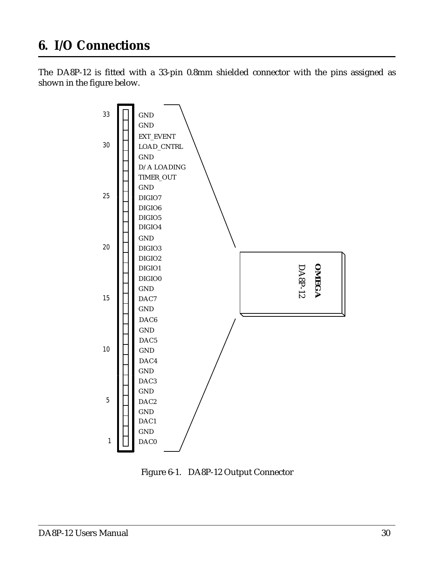<span id="page-29-0"></span>The DA8P-12 is fitted with a 33-pin 0.8mm shielded connector with the pins assigned as shown in the figure below.



Figure 6-1. DA8P-12 Output Connector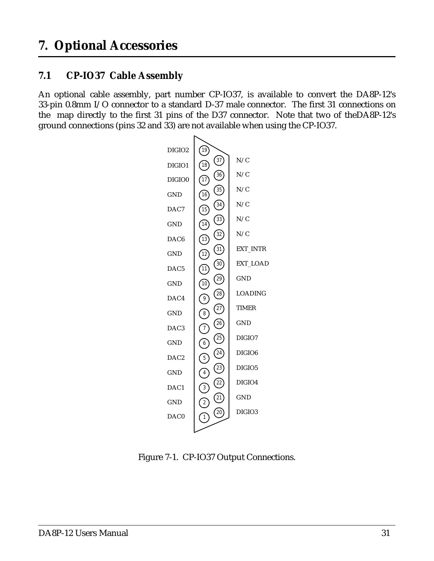#### <span id="page-30-0"></span>**7.1 CP-IO37 Cable Assembly**

An optional cable assembly, part number CP-IO37, is available to convert the DA8P-12's 33-pin 0.8mm I/O connector to a standard D-37 male connector. The first 31 connections on the map directly to the first 31 pins of the D37 connector. Note that two of theDA8P-12's ground connections (pins 32 and 33) are not available when using the CP-IO37.



Figure 7-1. CP-IO37 Output Connections.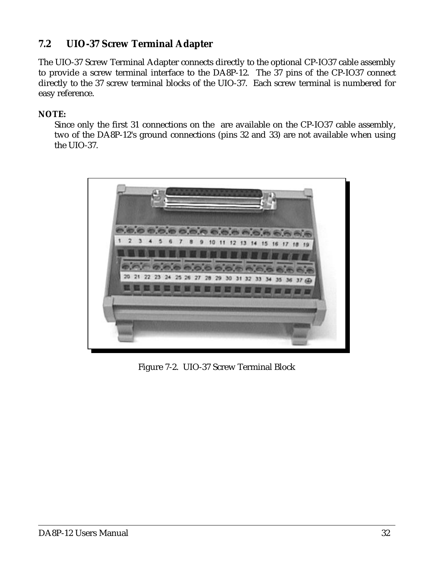#### **7.2 UIO-37 Screw Terminal Adapter**

The UIO-37 Screw Terminal Adapter connects directly to the optional CP-IO37 cable assembly to provide a screw terminal interface to the DA8P-12. The 37 pins of the CP-IO37 connect directly to the 37 screw terminal blocks of the UIO-37. Each screw terminal is numbered for easy reference.

#### **NOTE:**

Since only the first 31 connections on the are available on the CP-IO37 cable assembly, two of the DA8P-12's ground connections (pins 32 and 33) are not available when using the UIO-37.



Figure 7-2. UIO-37 Screw Terminal Block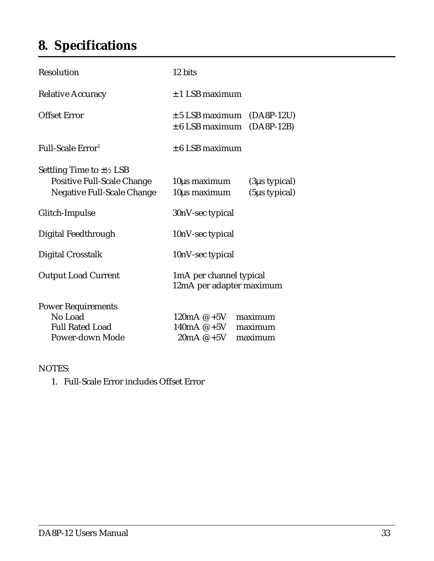# <span id="page-32-0"></span>**8. Specifications**

| Resolution                                                                                                      | 12 bits                                                               |
|-----------------------------------------------------------------------------------------------------------------|-----------------------------------------------------------------------|
| <b>Relative Accuracy</b>                                                                                        | $\pm$ 1 LSB maximum                                                   |
| <b>Offset Error</b>                                                                                             | $\pm$ 5 LSB maximum (DA8P-12U)<br>$\pm$ 6 LSB maximum<br>$(DA8P-12B)$ |
| Full-Scale Error <sup>1</sup>                                                                                   | $\pm$ 6 LSB maximum                                                   |
| Settling Time to $\pm\frac{1}{2}$ LSB<br><b>Positive Full-Scale Change</b><br><b>Negative Full-Scale Change</b> | 10µs maximum<br>(3µs typical)<br>(5µs typical)<br>10us maximum        |
| Glitch-Impulse                                                                                                  | 30nV-sec typical                                                      |
| Digital Feedthrough                                                                                             | 10nV-sec typical                                                      |
| <b>Digital Crosstalk</b>                                                                                        | 10nV-sec typical                                                      |
| <b>Output Load Current</b>                                                                                      | 1mA per channel typical<br>12mA per adapter maximum                   |
| <b>Power Requirements</b><br>No Load<br><b>Full Rated Load</b><br>Power-down Mode                               | 120mA $@+5V$ maximum<br>140mA $@+5V$ maximum<br>20mA @ +5V<br>maximum |

NOTES:

1. Full-Scale Error includes Offset Error